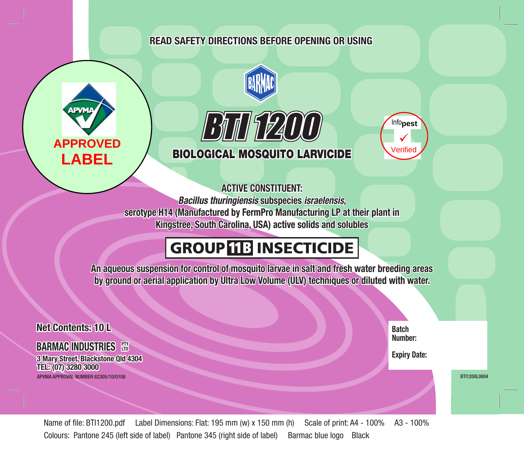## **Read safety directions before opening OR USING**









## **ACTIVE CONSTITUENT:**

*Bacillus thuringiensis* **subspecies** *israelensis***,**

**serotype H14 (Manufactured by FermPro Manufacturing LP at their plant in Kingstree, South Carolina, USA) active solids and solubles**

# **GROUP 13 INSECTICIDE**

**An aqueous suspension for control of mosquito larvae in salt and fresh water breeding areas by ground or aerial application by Ultra Low Volume (ULV) techniques or diluted with water.** 



Name of file: BTI1200.pdf Label Dimensions: Flat: 195 mm (w) x 150 mm (h) Scale of print: A4 - 100% A3 - 100% Colours: Pantone 245 (left side of label) Pantone 345 (right side of label) Barmac blue logo Black